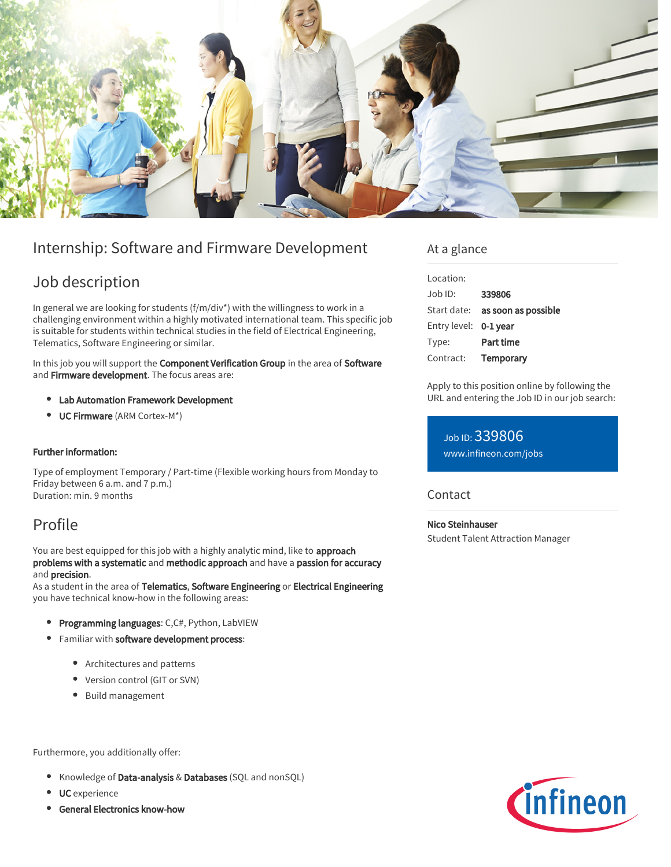

# Internship: Software and Firmware Development

# Job description

In general we are looking for students (f/m/div\*) with the willingness to work in a challenging environment within a highly motivated international team. This specific job is suitable for students within technical studies in the field of Electrical Engineering, Telematics, Software Engineering or similar.

In this job you will support the Component Verification Group in the area of Software and Firmware development. The focus areas are:

- Lab Automation Framework Development
- UC Firmware (ARM Cortex-M\*)

#### Further information:

Type of employment Temporary / Part-time (Flexible working hours from Monday to Friday between 6 a.m. and 7 p.m.) Duration: min. 9 months

## Profile

You are best equipped for this job with a highly analytic mind, like to approach problems with a systematic and methodic approach and have a passion for accuracy and precision.

As a student in the area of Telematics, Software Engineering or Electrical Engineering you have technical know-how in the following areas:

- Programming languages: C,C#, Python, LabVIEW
- Familiar with software development process:
	- Architectures and patterns
	- Version control (GIT or SVN)
	- Build management

Furthermore, you additionally offer:

- Knowledge of Data-analysis & Databases (SQL and nonSQL)
- **UC** experience
- General Electronics know-how

### At a glance

| Location:             |                                        |
|-----------------------|----------------------------------------|
| .lob ID:              | 339806                                 |
|                       | Start date: <b>as soon as possible</b> |
| Entry level: 0-1 year |                                        |
| Type:                 | Part time                              |
| Contract:             | Temporary                              |
|                       |                                        |

Apply to this position online by following the URL and entering the Job ID in our job search:

Job ID: 339806 [www.infineon.com/jobs](https://www.infineon.com/jobs)

**Contact** 

#### Nico Steinhauser

Student Talent Attraction Manager